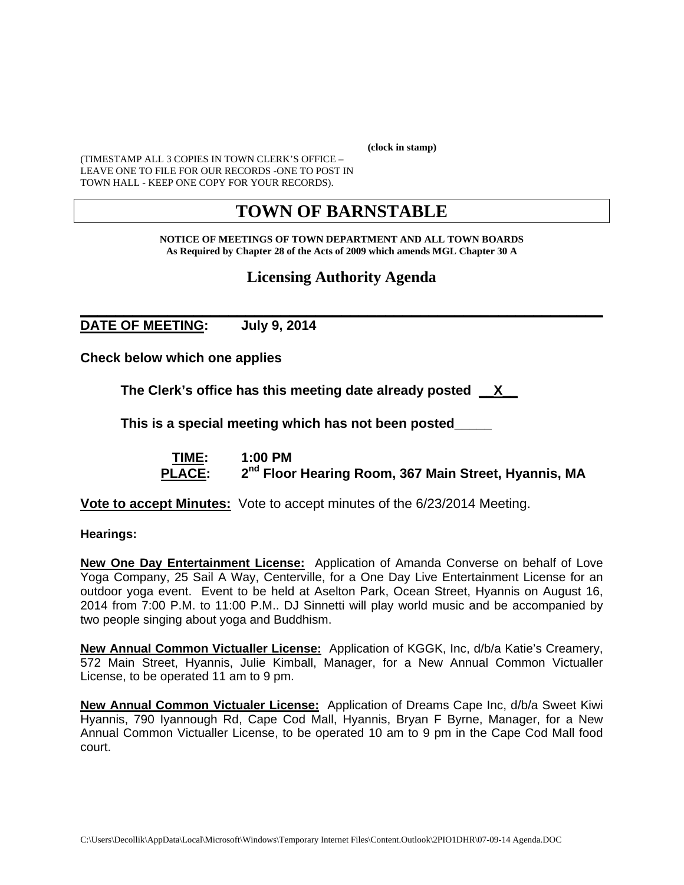**(clock in stamp)** 

(TIMESTAMP ALL 3 COPIES IN TOWN CLERK'S OFFICE – LEAVE ONE TO FILE FOR OUR RECORDS -ONE TO POST IN TOWN HALL - KEEP ONE COPY FOR YOUR RECORDS).

# **TOWN OF BARNSTABLE**

**NOTICE OF MEETINGS OF TOWN DEPARTMENT AND ALL TOWN BOARDS As Required by Chapter 28 of the Acts of 2009 which amends MGL Chapter 30 A** 

## **Licensing Authority Agenda**

### **\_\_\_\_\_\_\_\_\_\_\_\_\_\_\_\_\_\_\_\_\_\_\_\_\_\_\_\_\_\_\_\_\_\_\_\_\_\_\_\_\_\_\_\_\_\_\_\_\_\_\_\_\_\_\_\_\_\_\_\_ DATE OF MEETING: July 9, 2014**

**Check below which one applies** 

**The Clerk's office has this meeting date already posted \_\_X\_\_** 

 **This is a special meeting which has not been posted\_\_\_\_\_** 

 **TIME: 1:00 PM**  PLACE:  $2^{nd}$  Floor Hearing Room, 367 Main Street, Hyannis, MA

**Vote to accept Minutes:** Vote to accept minutes of the 6/23/2014 Meeting.

**Hearings:** 

**New One Day Entertainment License:** Application of Amanda Converse on behalf of Love Yoga Company, 25 Sail A Way, Centerville, for a One Day Live Entertainment License for an outdoor yoga event. Event to be held at Aselton Park, Ocean Street, Hyannis on August 16, 2014 from 7:00 P.M. to 11:00 P.M.. DJ Sinnetti will play world music and be accompanied by two people singing about yoga and Buddhism.

**New Annual Common Victualler License:** Application of KGGK, Inc, d/b/a Katie's Creamery, 572 Main Street, Hyannis, Julie Kimball, Manager, for a New Annual Common Victualler License, to be operated 11 am to 9 pm.

**New Annual Common Victualer License:** Application of Dreams Cape Inc, d/b/a Sweet Kiwi Hyannis, 790 Iyannough Rd, Cape Cod Mall, Hyannis, Bryan F Byrne, Manager, for a New Annual Common Victualler License, to be operated 10 am to 9 pm in the Cape Cod Mall food court.